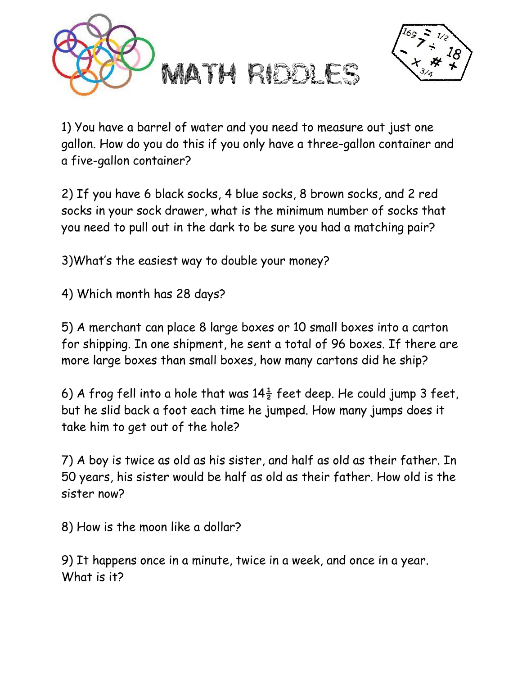



1) You have a barrel of water and you need to measure out just one gallon. How do you do this if you only have a three-gallon container and a five-gallon container?

2) If you have 6 black socks, 4 blue socks, 8 brown socks, and 2 red socks in your sock drawer, what is the minimum number of socks that you need to pull out in the dark to be sure you had a matching pair?

3)What's the easiest way to double your money?

4) Which month has 28 days?

5) A merchant can place 8 large boxes or 10 small boxes into a carton for shipping. In one shipment, he sent a total of 96 boxes. If there are more large boxes than small boxes, how many cartons did he ship?

6) A frog fell into a hole that was  $14\frac{1}{2}$  feet deep. He could jump 3 feet, but he slid back a foot each time he jumped. How many jumps does it take him to get out of the hole?

7) A boy is twice as old as his sister, and half as old as their father. In 50 years, his sister would be half as old as their father. How old is the sister now?

8) How is the moon like a dollar?

9) It happens once in a minute, twice in a week, and once in a year. What is it?